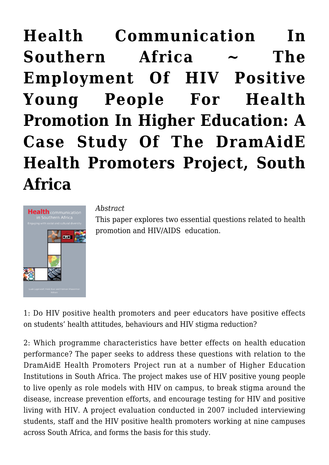# **[Health Communication In](https://rozenbergquarterly.com/health-communication-in-southern-africa-the-employment-of-hiv-positive-young-people-for-health-promotion-in-higher-education-a-case-study-of-the-dramaide-health-promoters-project-south-africa/) [Southern Africa ~ The](https://rozenbergquarterly.com/health-communication-in-southern-africa-the-employment-of-hiv-positive-young-people-for-health-promotion-in-higher-education-a-case-study-of-the-dramaide-health-promoters-project-south-africa/) [Employment Of HIV Positive](https://rozenbergquarterly.com/health-communication-in-southern-africa-the-employment-of-hiv-positive-young-people-for-health-promotion-in-higher-education-a-case-study-of-the-dramaide-health-promoters-project-south-africa/) [Young People For Health](https://rozenbergquarterly.com/health-communication-in-southern-africa-the-employment-of-hiv-positive-young-people-for-health-promotion-in-higher-education-a-case-study-of-the-dramaide-health-promoters-project-south-africa/) [Promotion In Higher Education: A](https://rozenbergquarterly.com/health-communication-in-southern-africa-the-employment-of-hiv-positive-young-people-for-health-promotion-in-higher-education-a-case-study-of-the-dramaide-health-promoters-project-south-africa/) [Case Study Of The DramAidE](https://rozenbergquarterly.com/health-communication-in-southern-africa-the-employment-of-hiv-positive-young-people-for-health-promotion-in-higher-education-a-case-study-of-the-dramaide-health-promoters-project-south-africa/) [Health Promoters Project, South](https://rozenbergquarterly.com/health-communication-in-southern-africa-the-employment-of-hiv-positive-young-people-for-health-promotion-in-higher-education-a-case-study-of-the-dramaide-health-promoters-project-south-africa/) [Africa](https://rozenbergquarterly.com/health-communication-in-southern-africa-the-employment-of-hiv-positive-young-people-for-health-promotion-in-higher-education-a-case-study-of-the-dramaide-health-promoters-project-south-africa/)**



*Abstract*

This paper explores two essential questions related to health promotion and HIV/AIDS education.

1: Do HIV positive health promoters and peer educators have positive effects on students' health attitudes, behaviours and HIV stigma reduction?

2: Which programme characteristics have better effects on health education performance? The paper seeks to address these questions with relation to the DramAidE Health Promoters Project run at a number of Higher Education Institutions in South Africa. The project makes use of HIV positive young people to live openly as role models with HIV on campus, to break stigma around the disease, increase prevention efforts, and encourage testing for HIV and positive living with HIV. A project evaluation conducted in 2007 included interviewing students, staff and the HIV positive health promoters working at nine campuses across South Africa, and forms the basis for this study.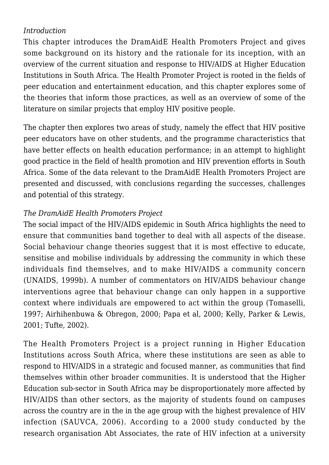## *Introduction*

This chapter introduces the DramAidE Health Promoters Project and gives some background on its history and the rationale for its inception, with an overview of the current situation and response to HIV/AIDS at Higher Education Institutions in South Africa. The Health Promoter Project is rooted in the fields of peer education and entertainment education, and this chapter explores some of the theories that inform those practices, as well as an overview of some of the literature on similar projects that employ HIV positive people.

The chapter then explores two areas of study, namely the effect that HIV positive peer educators have on other students, and the programme characteristics that have better effects on health education performance; in an attempt to highlight good practice in the field of health promotion and HIV prevention efforts in South Africa. Some of the data relevant to the DramAidE Health Promoters Project are presented and discussed, with conclusions regarding the successes, challenges and potential of this strategy.

### *The DramAidE Health Promoters Project*

The social impact of the HIV/AIDS epidemic in South Africa highlights the need to ensure that communities band together to deal with all aspects of the disease. Social behaviour change theories suggest that it is most effective to educate, sensitise and mobilise individuals by addressing the community in which these individuals find themselves, and to make HIV/AIDS a community concern (UNAIDS, 1999b). A number of commentators on HIV/AIDS behaviour change interventions agree that behaviour change can only happen in a supportive context where individuals are empowered to act within the group (Tomaselli, 1997; Airhihenbuwa & Obregon, 2000; Papa et al, 2000; Kelly, Parker & Lewis, 2001; Tufte, 2002).

The Health Promoters Project is a project running in Higher Education Institutions across South Africa, where these institutions are seen as able to respond to HIV/AIDS in a strategic and focused manner, as communities that find themselves within other broader communities. It is understood that the Higher Education sub-sector in South Africa may be disproportionately more affected by HIV/AIDS than other sectors, as the majority of students found on campuses across the country are in the in the age group with the highest prevalence of HIV infection (SAUVCA, 2006). According to a 2000 study conducted by the research organisation Abt Associates, the rate of HIV infection at a university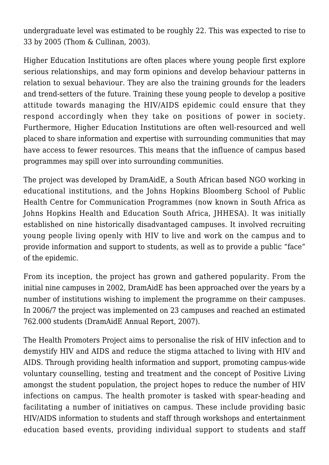undergraduate level was estimated to be roughly 22. This was expected to rise to 33 by 2005 (Thom & Cullinan, 2003).

Higher Education Institutions are often places where young people first explore serious relationships, and may form opinions and develop behaviour patterns in relation to sexual behaviour. They are also the training grounds for the leaders and trend-setters of the future. Training these young people to develop a positive attitude towards managing the HIV/AIDS epidemic could ensure that they respond accordingly when they take on positions of power in society. Furthermore, Higher Education Institutions are often well-resourced and well placed to share information and expertise with surrounding communities that may have access to fewer resources. This means that the influence of campus based programmes may spill over into surrounding communities.

The project was developed by DramAidE, a South African based NGO working in educational institutions, and the Johns Hopkins Bloomberg School of Public Health Centre for Communication Programmes (now known in South Africa as Johns Hopkins Health and Education South Africa, JHHESA). It was initially established on nine historically disadvantaged campuses. It involved recruiting young people living openly with HIV to live and work on the campus and to provide information and support to students, as well as to provide a public "face" of the epidemic.

From its inception, the project has grown and gathered popularity. From the initial nine campuses in 2002, DramAidE has been approached over the years by a number of institutions wishing to implement the programme on their campuses. In 2006/7 the project was implemented on 23 campuses and reached an estimated 762.000 students (DramAidE Annual Report, 2007).

The Health Promoters Project aims to personalise the risk of HIV infection and to demystify HIV and AIDS and reduce the stigma attached to living with HIV and AIDS. Through providing health information and support, promoting campus-wide voluntary counselling, testing and treatment and the concept of Positive Living amongst the student population, the project hopes to reduce the number of HIV infections on campus. The health promoter is tasked with spear-heading and facilitating a number of initiatives on campus. These include providing basic HIV/AIDS information to students and staff through workshops and entertainment education based events, providing individual support to students and staff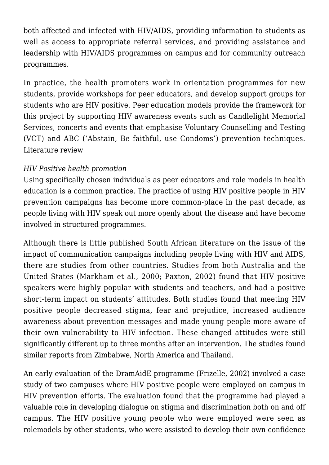both affected and infected with HIV/AIDS, providing information to students as well as access to appropriate referral services, and providing assistance and leadership with HIV/AIDS programmes on campus and for community outreach programmes.

In practice, the health promoters work in orientation programmes for new students, provide workshops for peer educators, and develop support groups for students who are HIV positive. Peer education models provide the framework for this project by supporting HIV awareness events such as Candlelight Memorial Services, concerts and events that emphasise Voluntary Counselling and Testing (VCT) and ABC ('Abstain, Be faithful, use Condoms') prevention techniques. Literature review

## *HIV Positive health promotion*

Using specifically chosen individuals as peer educators and role models in health education is a common practice. The practice of using HIV positive people in HIV prevention campaigns has become more common-place in the past decade, as people living with HIV speak out more openly about the disease and have become involved in structured programmes.

Although there is little published South African literature on the issue of the impact of communication campaigns including people living with HIV and AIDS, there are studies from other countries. Studies from both Australia and the United States (Markham et al., 2000; Paxton, 2002) found that HIV positive speakers were highly popular with students and teachers, and had a positive short-term impact on students' attitudes. Both studies found that meeting HIV positive people decreased stigma, fear and prejudice, increased audience awareness about prevention messages and made young people more aware of their own vulnerability to HIV infection. These changed attitudes were still significantly different up to three months after an intervention. The studies found similar reports from Zimbabwe, North America and Thailand.

An early evaluation of the DramAidE programme (Frizelle, 2002) involved a case study of two campuses where HIV positive people were employed on campus in HIV prevention efforts. The evaluation found that the programme had played a valuable role in developing dialogue on stigma and discrimination both on and off campus. The HIV positive young people who were employed were seen as rolemodels by other students, who were assisted to develop their own confidence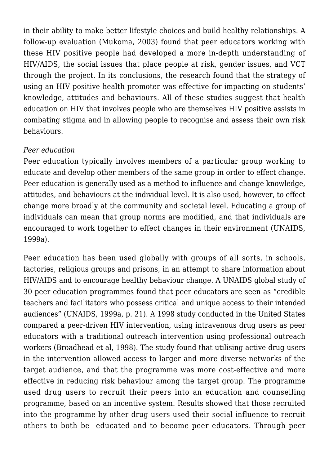in their ability to make better lifestyle choices and build healthy relationships. A follow-up evaluation (Mukoma, 2003) found that peer educators working with these HIV positive people had developed a more in-depth understanding of HIV/AIDS, the social issues that place people at risk, gender issues, and VCT through the project. In its conclusions, the research found that the strategy of using an HIV positive health promoter was effective for impacting on students' knowledge, attitudes and behaviours. All of these studies suggest that health education on HIV that involves people who are themselves HIV positive assists in combating stigma and in allowing people to recognise and assess their own risk behaviours.

### *Peer education*

Peer education typically involves members of a particular group working to educate and develop other members of the same group in order to effect change. Peer education is generally used as a method to influence and change knowledge, attitudes, and behaviours at the individual level. It is also used, however, to effect change more broadly at the community and societal level. Educating a group of individuals can mean that group norms are modified, and that individuals are encouraged to work together to effect changes in their environment (UNAIDS, 1999a).

Peer education has been used globally with groups of all sorts, in schools, factories, religious groups and prisons, in an attempt to share information about HIV/AIDS and to encourage healthy behaviour change. A UNAIDS global study of 30 peer education programmes found that peer educators are seen as "credible teachers and facilitators who possess critical and unique access to their intended audiences" (UNAIDS, 1999a, p. 21). A 1998 study conducted in the United States compared a peer-driven HIV intervention, using intravenous drug users as peer educators with a traditional outreach intervention using professional outreach workers (Broadhead et al, 1998). The study found that utilising active drug users in the intervention allowed access to larger and more diverse networks of the target audience, and that the programme was more cost-effective and more effective in reducing risk behaviour among the target group. The programme used drug users to recruit their peers into an education and counselling programme, based on an incentive system. Results showed that those recruited into the programme by other drug users used their social influence to recruit others to both be educated and to become peer educators. Through peer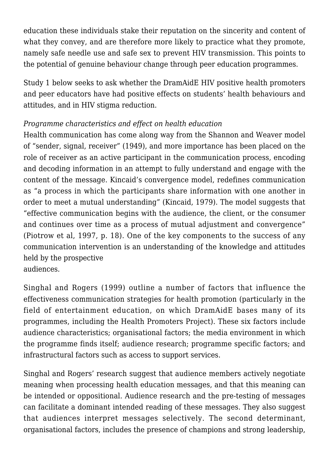education these individuals stake their reputation on the sincerity and content of what they convey, and are therefore more likely to practice what they promote, namely safe needle use and safe sex to prevent HIV transmission. This points to the potential of genuine behaviour change through peer education programmes.

Study 1 below seeks to ask whether the DramAidE HIV positive health promoters and peer educators have had positive effects on students' health behaviours and attitudes, and in HIV stigma reduction.

### *Programme characteristics and effect on health education*

Health communication has come along way from the Shannon and Weaver model of "sender, signal, receiver" (1949), and more importance has been placed on the role of receiver as an active participant in the communication process, encoding and decoding information in an attempt to fully understand and engage with the content of the message. Kincaid's convergence model, redefines communication as "a process in which the participants share information with one another in order to meet a mutual understanding" (Kincaid, 1979). The model suggests that "effective communication begins with the audience, the client, or the consumer and continues over time as a process of mutual adjustment and convergence" (Piotrow et al, 1997, p. 18). One of the key components to the success of any communication intervention is an understanding of the knowledge and attitudes held by the prospective audiences.

Singhal and Rogers (1999) outline a number of factors that influence the effectiveness communication strategies for health promotion (particularly in the field of entertainment education, on which DramAidE bases many of its programmes, including the Health Promoters Project). These six factors include audience characteristics; organisational factors; the media environment in which the programme finds itself; audience research; programme specific factors; and infrastructural factors such as access to support services.

Singhal and Rogers' research suggest that audience members actively negotiate meaning when processing health education messages, and that this meaning can be intended or oppositional. Audience research and the pre-testing of messages can facilitate a dominant intended reading of these messages. They also suggest that audiences interpret messages selectively. The second determinant, organisational factors, includes the presence of champions and strong leadership,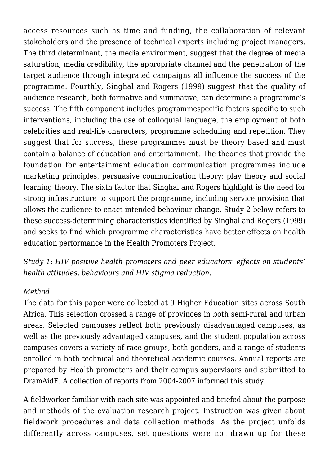access resources such as time and funding, the collaboration of relevant stakeholders and the presence of technical experts including project managers. The third determinant, the media environment, suggest that the degree of media saturation, media credibility, the appropriate channel and the penetration of the target audience through integrated campaigns all influence the success of the programme. Fourthly, Singhal and Rogers (1999) suggest that the quality of audience research, both formative and summative, can determine a programme's success. The fifth component includes programmespecific factors specific to such interventions, including the use of colloquial language, the employment of both celebrities and real-life characters, programme scheduling and repetition. They suggest that for success, these programmes must be theory based and must contain a balance of education and entertainment. The theories that provide the foundation for entertainment education communication programmes include marketing principles, persuasive communication theory; play theory and social learning theory. The sixth factor that Singhal and Rogers highlight is the need for strong infrastructure to support the programme, including service provision that allows the audience to enact intended behaviour change. Study 2 below refers to these success-determining characteristics identified by Singhal and Rogers (1999) and seeks to find which programme characteristics have better effects on health education performance in the Health Promoters Project.

*Study 1*: *HIV positive health promoters and peer educators' effects on students' health attitudes, behaviours and HIV stigma reduction.*

#### *Method*

The data for this paper were collected at 9 Higher Education sites across South Africa. This selection crossed a range of provinces in both semi-rural and urban areas. Selected campuses reflect both previously disadvantaged campuses, as well as the previously advantaged campuses, and the student population across campuses covers a variety of race groups, both genders, and a range of students enrolled in both technical and theoretical academic courses. Annual reports are prepared by Health promoters and their campus supervisors and submitted to DramAidE. A collection of reports from 2004-2007 informed this study.

A fieldworker familiar with each site was appointed and briefed about the purpose and methods of the evaluation research project. Instruction was given about fieldwork procedures and data collection methods. As the project unfolds differently across campuses, set questions were not drawn up for these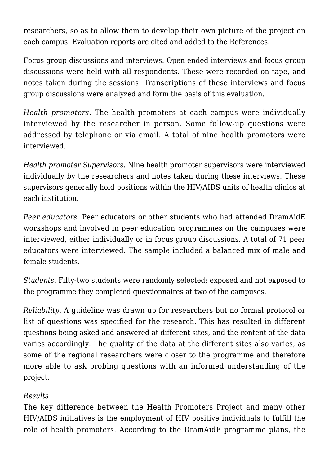researchers, so as to allow them to develop their own picture of the project on each campus. Evaluation reports are cited and added to the References.

Focus group discussions and interviews. Open ended interviews and focus group discussions were held with all respondents. These were recorded on tape, and notes taken during the sessions. Transcriptions of these interviews and focus group discussions were analyzed and form the basis of this evaluation.

*Health promoters*. The health promoters at each campus were individually interviewed by the researcher in person. Some follow-up questions were addressed by telephone or via email. A total of nine health promoters were interviewed.

*Health promoter Supervisors.* Nine health promoter supervisors were interviewed individually by the researchers and notes taken during these interviews. These supervisors generally hold positions within the HIV/AIDS units of health clinics at each institution.

*Peer educators.* Peer educators or other students who had attended DramAidE workshops and involved in peer education programmes on the campuses were interviewed, either individually or in focus group discussions. A total of 71 peer educators were interviewed. The sample included a balanced mix of male and female students.

*Students.* Fifty-two students were randomly selected; exposed and not exposed to the programme they completed questionnaires at two of the campuses.

*Reliability*. A guideline was drawn up for researchers but no formal protocol or list of questions was specified for the research. This has resulted in different questions being asked and answered at different sites, and the content of the data varies accordingly. The quality of the data at the different sites also varies, as some of the regional researchers were closer to the programme and therefore more able to ask probing questions with an informed understanding of the project.

## *Results*

The key difference between the Health Promoters Project and many other HIV/AIDS initiatives is the employment of HIV positive individuals to fulfill the role of health promoters. According to the DramAidE programme plans, the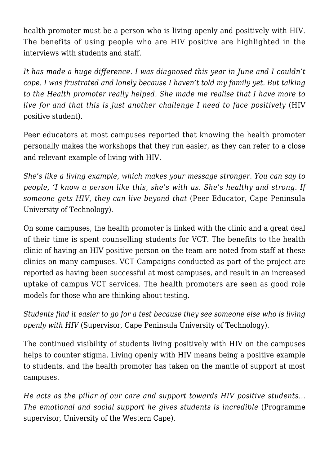health promoter must be a person who is living openly and positively with HIV. The benefits of using people who are HIV positive are highlighted in the interviews with students and staff.

*It has made a huge difference. I was diagnosed this year in June and I couldn't cope. I was frustrated and lonely because I haven't told my family yet. But talking to the Health promoter really helped. She made me realise that I have more to live for and that this is just another challenge I need to face positively* (HIV positive student).

Peer educators at most campuses reported that knowing the health promoter personally makes the workshops that they run easier, as they can refer to a close and relevant example of living with HIV.

*She's like a living example, which makes your message stronger. You can say to people, 'I know a person like this, she's with us. She's healthy and strong. If someone gets HIV, they can live beyond that* (Peer Educator, Cape Peninsula University of Technology).

On some campuses, the health promoter is linked with the clinic and a great deal of their time is spent counselling students for VCT. The benefits to the health clinic of having an HIV positive person on the team are noted from staff at these clinics on many campuses. VCT Campaigns conducted as part of the project are reported as having been successful at most campuses, and result in an increased uptake of campus VCT services. The health promoters are seen as good role models for those who are thinking about testing.

*Students find it easier to go for a test because they see someone else who is living openly with HIV* (Supervisor, Cape Peninsula University of Technology).

The continued visibility of students living positively with HIV on the campuses helps to counter stigma. Living openly with HIV means being a positive example to students, and the health promoter has taken on the mantle of support at most campuses.

*He acts as the pillar of our care and support towards HIV positive students… The emotional and social support he gives students is incredible* (Programme supervisor, University of the Western Cape).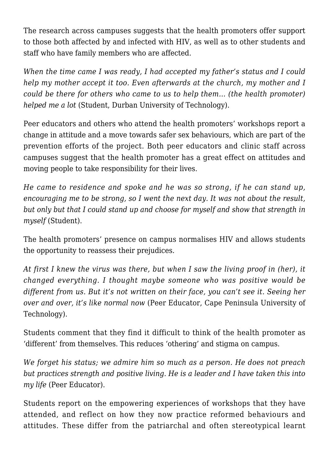The research across campuses suggests that the health promoters offer support to those both affected by and infected with HIV, as well as to other students and staff who have family members who are affected.

*When the time came I was ready, I had accepted my father's status and I could help my mother accept it too. Even afterwards at the church, my mother and I could be there for others who came to us to help them… (the health promoter) helped me a lot* (Student, Durban University of Technology).

Peer educators and others who attend the health promoters' workshops report a change in attitude and a move towards safer sex behaviours, which are part of the prevention efforts of the project. Both peer educators and clinic staff across campuses suggest that the health promoter has a great effect on attitudes and moving people to take responsibility for their lives.

*He came to residence and spoke and he was so strong, if he can stand up, encouraging me to be strong, so I went the next day. It was not about the result, but only but that I could stand up and choose for myself and show that strength in myself* (Student).

The health promoters' presence on campus normalises HIV and allows students the opportunity to reassess their prejudices.

*At first I knew the virus was there, but when I saw the living proof in (her), it changed everything. I thought maybe someone who was positive would be different from us. But it's not written on their face, you can't see it. Seeing her over and over, it's like normal now* (Peer Educator, Cape Peninsula University of Technology).

Students comment that they find it difficult to think of the health promoter as 'different' from themselves. This reduces 'othering' and stigma on campus.

*We forget his status; we admire him so much as a person. He does not preach but practices strength and positive living. He is a leader and I have taken this into my life* (Peer Educator).

Students report on the empowering experiences of workshops that they have attended, and reflect on how they now practice reformed behaviours and attitudes. These differ from the patriarchal and often stereotypical learnt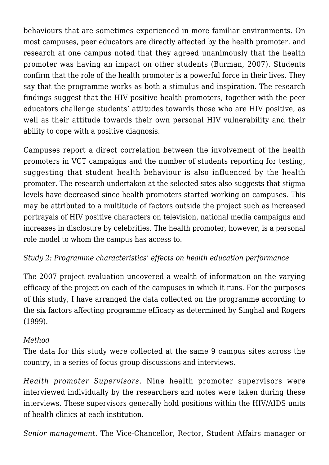behaviours that are sometimes experienced in more familiar environments. On most campuses, peer educators are directly affected by the health promoter, and research at one campus noted that they agreed unanimously that the health promoter was having an impact on other students (Burman, 2007). Students confirm that the role of the health promoter is a powerful force in their lives. They say that the programme works as both a stimulus and inspiration. The research findings suggest that the HIV positive health promoters, together with the peer educators challenge students' attitudes towards those who are HIV positive, as well as their attitude towards their own personal HIV vulnerability and their ability to cope with a positive diagnosis.

Campuses report a direct correlation between the involvement of the health promoters in VCT campaigns and the number of students reporting for testing, suggesting that student health behaviour is also influenced by the health promoter. The research undertaken at the selected sites also suggests that stigma levels have decreased since health promoters started working on campuses. This may be attributed to a multitude of factors outside the project such as increased portrayals of HIV positive characters on television, national media campaigns and increases in disclosure by celebrities. The health promoter, however, is a personal role model to whom the campus has access to.

## *Study 2: Programme characteristics' effects on health education performance*

The 2007 project evaluation uncovered a wealth of information on the varying efficacy of the project on each of the campuses in which it runs. For the purposes of this study, I have arranged the data collected on the programme according to the six factors affecting programme efficacy as determined by Singhal and Rogers (1999).

### *Method*

The data for this study were collected at the same 9 campus sites across the country, in a series of focus group discussions and interviews.

*Health promoter Supervisors.* Nine health promoter supervisors were interviewed individually by the researchers and notes were taken during these interviews. These supervisors generally hold positions within the HIV/AIDS units of health clinics at each institution.

*Senior management.* The Vice-Chancellor, Rector, Student Affairs manager or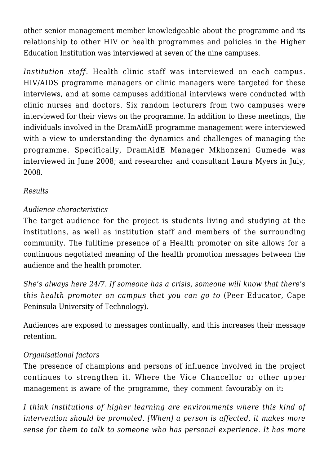other senior management member knowledgeable about the programme and its relationship to other HIV or health programmes and policies in the Higher Education Institution was interviewed at seven of the nine campuses.

*Institution staff.* Health clinic staff was interviewed on each campus. HIV/AIDS programme managers or clinic managers were targeted for these interviews, and at some campuses additional interviews were conducted with clinic nurses and doctors. Six random lecturers from two campuses were interviewed for their views on the programme. In addition to these meetings, the individuals involved in the DramAidE programme management were interviewed with a view to understanding the dynamics and challenges of managing the programme. Specifically, DramAidE Manager Mkhonzeni Gumede was interviewed in June 2008; and researcher and consultant Laura Myers in July, 2008.

### *Results*

## *Audience characteristics*

The target audience for the project is students living and studying at the institutions, as well as institution staff and members of the surrounding community. The fulltime presence of a Health promoter on site allows for a continuous negotiated meaning of the health promotion messages between the audience and the health promoter.

*She's always here 24/7. If someone has a crisis, someone will know that there's this health promoter on campus that you can go to* (Peer Educator, Cape Peninsula University of Technology).

Audiences are exposed to messages continually, and this increases their message retention.

### *Organisational factors*

The presence of champions and persons of influence involved in the project continues to strengthen it. Where the Vice Chancellor or other upper management is aware of the programme, they comment favourably on it:

*I think institutions of higher learning are environments where this kind of intervention should be promoted. [When] a person is affected, it makes more sense for them to talk to someone who has personal experience. It has more*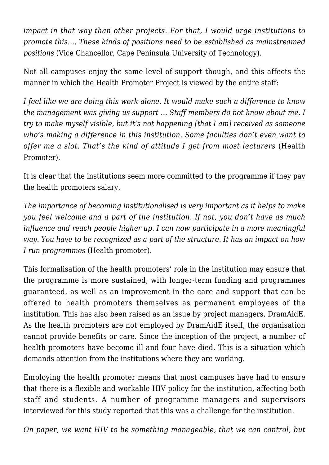*impact in that way than other projects. For that, I would urge institutions to promote this…. These kinds of positions need to be established as mainstreamed positions* (Vice Chancellor, Cape Peninsula University of Technology).

Not all campuses enjoy the same level of support though, and this affects the manner in which the Health Promoter Project is viewed by the entire staff:

*I feel like we are doing this work alone. It would make such a difference to know the management was giving us support … Staff members do not know about me. I try to make myself visible, but it's not happening [that I am] received as someone who's making a difference in this institution. Some faculties don't even want to offer me a slot. That's the kind of attitude I get from most lecturers* (Health Promoter).

It is clear that the institutions seem more committed to the programme if they pay the health promoters salary.

*The importance of becoming institutionalised is very important as it helps to make you feel welcome and a part of the institution. If not, you don't have as much influence and reach people higher up. I can now participate in a more meaningful way. You have to be recognized as a part of the structure. It has an impact on how I run programmes* (Health promoter).

This formalisation of the health promoters' role in the institution may ensure that the programme is more sustained, with longer-term funding and programmes guaranteed, as well as an improvement in the care and support that can be offered to health promoters themselves as permanent employees of the institution. This has also been raised as an issue by project managers, DramAidE. As the health promoters are not employed by DramAidE itself, the organisation cannot provide benefits or care. Since the inception of the project, a number of health promoters have become ill and four have died. This is a situation which demands attention from the institutions where they are working.

Employing the health promoter means that most campuses have had to ensure that there is a flexible and workable HIV policy for the institution, affecting both staff and students. A number of programme managers and supervisors interviewed for this study reported that this was a challenge for the institution.

*On paper, we want HIV to be something manageable, that we can control, but*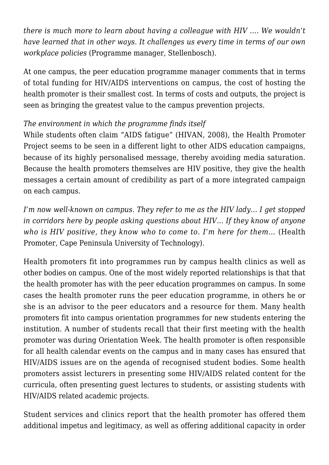*there is much more to learn about having a colleague with HIV …. We wouldn't have learned that in other ways. It challenges us every time in terms of our own workplace policies* (Programme manager, Stellenbosch).

At one campus, the peer education programme manager comments that in terms of total funding for HIV/AIDS interventions on campus, the cost of hosting the health promoter is their smallest cost. In terms of costs and outputs, the project is seen as bringing the greatest value to the campus prevention projects.

## *The environment in which the programme finds itself*

While students often claim "AIDS fatigue" (HIVAN, 2008), the Health Promoter Project seems to be seen in a different light to other AIDS education campaigns, because of its highly personalised message, thereby avoiding media saturation. Because the health promoters themselves are HIV positive, they give the health messages a certain amount of credibility as part of a more integrated campaign on each campus.

*I'm now well-known on campus. They refer to me as the HIV lady… I get stopped in corridors here by people asking questions about HIV… If they know of anyone who is HIV positive, they know who to come to. I'm here for them…* (Health Promoter, Cape Peninsula University of Technology).

Health promoters fit into programmes run by campus health clinics as well as other bodies on campus. One of the most widely reported relationships is that that the health promoter has with the peer education programmes on campus. In some cases the health promoter runs the peer education programme, in others he or she is an advisor to the peer educators and a resource for them. Many health promoters fit into campus orientation programmes for new students entering the institution. A number of students recall that their first meeting with the health promoter was during Orientation Week. The health promoter is often responsible for all health calendar events on the campus and in many cases has ensured that HIV/AIDS issues are on the agenda of recognised student bodies. Some health promoters assist lecturers in presenting some HIV/AIDS related content for the curricula, often presenting guest lectures to students, or assisting students with HIV/AIDS related academic projects.

Student services and clinics report that the health promoter has offered them additional impetus and legitimacy, as well as offering additional capacity in order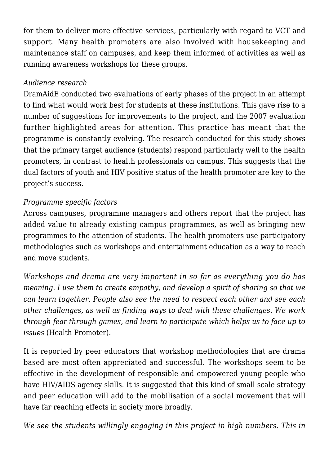for them to deliver more effective services, particularly with regard to VCT and support. Many health promoters are also involved with housekeeping and maintenance staff on campuses, and keep them informed of activities as well as running awareness workshops for these groups.

### *Audience research*

DramAidE conducted two evaluations of early phases of the project in an attempt to find what would work best for students at these institutions. This gave rise to a number of suggestions for improvements to the project, and the 2007 evaluation further highlighted areas for attention. This practice has meant that the programme is constantly evolving. The research conducted for this study shows that the primary target audience (students) respond particularly well to the health promoters, in contrast to health professionals on campus. This suggests that the dual factors of youth and HIV positive status of the health promoter are key to the project's success.

### *Programme specific factors*

Across campuses, programme managers and others report that the project has added value to already existing campus programmes, as well as bringing new programmes to the attention of students. The health promoters use participatory methodologies such as workshops and entertainment education as a way to reach and move students.

*Workshops and drama are very important in so far as everything you do has meaning. I use them to create empathy, and develop a spirit of sharing so that we can learn together. People also see the need to respect each other and see each other challenges, as well as finding ways to deal with these challenges. We work through fear through games, and learn to participate which helps us to face up to issues* (Health Promoter).

It is reported by peer educators that workshop methodologies that are drama based are most often appreciated and successful. The workshops seem to be effective in the development of responsible and empowered young people who have HIV/AIDS agency skills. It is suggested that this kind of small scale strategy and peer education will add to the mobilisation of a social movement that will have far reaching effects in society more broadly.

*We see the students willingly engaging in this project in high numbers. This in*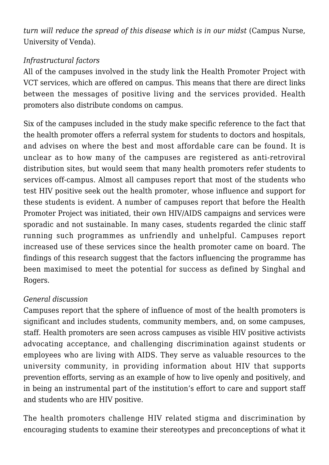*turn will reduce the spread of this disease which is in our midst* (Campus Nurse, University of Venda).

## *Infrastructural factors*

All of the campuses involved in the study link the Health Promoter Project with VCT services, which are offered on campus. This means that there are direct links between the messages of positive living and the services provided. Health promoters also distribute condoms on campus.

Six of the campuses included in the study make specific reference to the fact that the health promoter offers a referral system for students to doctors and hospitals, and advises on where the best and most affordable care can be found. It is unclear as to how many of the campuses are registered as anti-retroviral distribution sites, but would seem that many health promoters refer students to services off-campus. Almost all campuses report that most of the students who test HIV positive seek out the health promoter, whose influence and support for these students is evident. A number of campuses report that before the Health Promoter Project was initiated, their own HIV/AIDS campaigns and services were sporadic and not sustainable. In many cases, students regarded the clinic staff running such programmes as unfriendly and unhelpful. Campuses report increased use of these services since the health promoter came on board. The findings of this research suggest that the factors influencing the programme has been maximised to meet the potential for success as defined by Singhal and Rogers.

### *General discussion*

Campuses report that the sphere of influence of most of the health promoters is significant and includes students, community members, and, on some campuses, staff. Health promoters are seen across campuses as visible HIV positive activists advocating acceptance, and challenging discrimination against students or employees who are living with AIDS. They serve as valuable resources to the university community, in providing information about HIV that supports prevention efforts, serving as an example of how to live openly and positively, and in being an instrumental part of the institution's effort to care and support staff and students who are HIV positive.

The health promoters challenge HIV related stigma and discrimination by encouraging students to examine their stereotypes and preconceptions of what it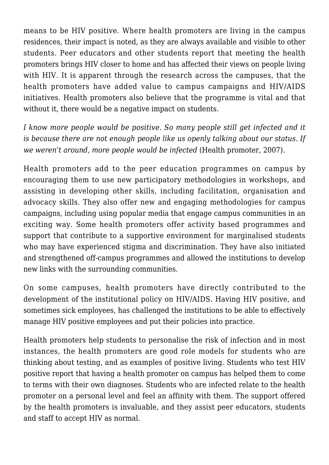means to be HIV positive. Where health promoters are living in the campus residences, their impact is noted, as they are always available and visible to other students. Peer educators and other students report that meeting the health promoters brings HIV closer to home and has affected their views on people living with HIV. It is apparent through the research across the campuses, that the health promoters have added value to campus campaigns and HIV/AIDS initiatives. Health promoters also believe that the programme is vital and that without it, there would be a negative impact on students.

*I know more people would be positive. So many people still get infected and it is because there are not enough people like us openly talking about our status. If we weren't around, more people would be infected* (Health promoter, 2007).

Health promoters add to the peer education programmes on campus by encouraging them to use new participatory methodologies in workshops, and assisting in developing other skills, including facilitation, organisation and advocacy skills. They also offer new and engaging methodologies for campus campaigns, including using popular media that engage campus communities in an exciting way. Some health promoters offer activity based programmes and support that contribute to a supportive environment for marginalised students who may have experienced stigma and discrimination. They have also initiated and strengthened off-campus programmes and allowed the institutions to develop new links with the surrounding communities.

On some campuses, health promoters have directly contributed to the development of the institutional policy on HIV/AIDS. Having HIV positive, and sometimes sick employees, has challenged the institutions to be able to effectively manage HIV positive employees and put their policies into practice.

Health promoters help students to personalise the risk of infection and in most instances, the health promoters are good role models for students who are thinking about testing, and as examples of positive living. Students who test HIV positive report that having a health promoter on campus has helped them to come to terms with their own diagnoses. Students who are infected relate to the health promoter on a personal level and feel an affinity with them. The support offered by the health promoters is invaluable, and they assist peer educators, students and staff to accept HIV as normal.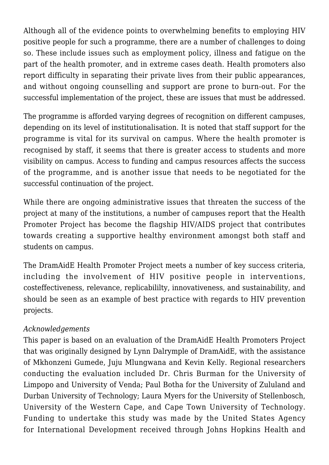Although all of the evidence points to overwhelming benefits to employing HIV positive people for such a programme, there are a number of challenges to doing so. These include issues such as employment policy, illness and fatigue on the part of the health promoter, and in extreme cases death. Health promoters also report difficulty in separating their private lives from their public appearances, and without ongoing counselling and support are prone to burn-out. For the successful implementation of the project, these are issues that must be addressed.

The programme is afforded varying degrees of recognition on different campuses, depending on its level of institutionalisation. It is noted that staff support for the programme is vital for its survival on campus. Where the health promoter is recognised by staff, it seems that there is greater access to students and more visibility on campus. Access to funding and campus resources affects the success of the programme, and is another issue that needs to be negotiated for the successful continuation of the project.

While there are ongoing administrative issues that threaten the success of the project at many of the institutions, a number of campuses report that the Health Promoter Project has become the flagship HIV/AIDS project that contributes towards creating a supportive healthy environment amongst both staff and students on campus.

The DramAidE Health Promoter Project meets a number of key success criteria, including the involvement of HIV positive people in interventions, costeffectiveness, relevance, replicabililty, innovativeness, and sustainability, and should be seen as an example of best practice with regards to HIV prevention projects.

### *Acknowledgements*

This paper is based on an evaluation of the DramAidE Health Promoters Project that was originally designed by Lynn Dalrymple of DramAidE, with the assistance of Mkhonzeni Gumede, Juju Mlungwana and Kevin Kelly. Regional researchers conducting the evaluation included Dr. Chris Burman for the University of Limpopo and University of Venda; Paul Botha for the University of Zululand and Durban University of Technology; Laura Myers for the University of Stellenbosch, University of the Western Cape, and Cape Town University of Technology. Funding to undertake this study was made by the United States Agency for International Development received through Johns Hopkins Health and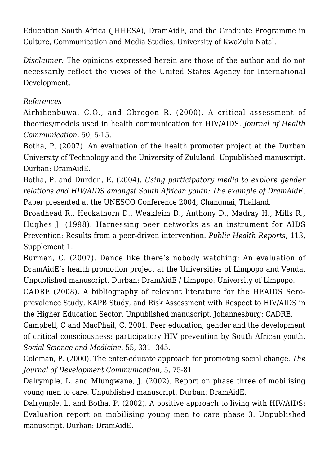Education South Africa (JHHESA), DramAidE, and the Graduate Programme in Culture, Communication and Media Studies, University of KwaZulu Natal.

*Disclaimer:* The opinions expressed herein are those of the author and do not necessarily reflect the views of the United States Agency for International Development.

### *References*

Airhihenbuwa, C.O., and Obregon R. (2000). A critical assessment of theories/models used in health communication for HIV/AIDS. *Journal of Health Communication*, 50, 5-15.

Botha, P. (2007). An evaluation of the health promoter project at the Durban University of Technology and the University of Zululand. Unpublished manuscript. Durban: DramAidE.

Botha, P. and Durden, E. (2004). *Using participatory media to explore gender relations and HIV/AIDS amongst South African youth: The example of DramAidE.* Paper presented at the UNESCO Conference 2004, Changmai, Thailand.

Broadhead R., Heckathorn D., Weakleim D., Anthony D., Madray H., Mills R., Hughes J. (1998). Harnessing peer networks as an instrument for AIDS Prevention: Results from a peer-driven intervention. *Public Health Reports*, 113, Supplement 1.

Burman, C. (2007). Dance like there's nobody watching: An evaluation of DramAidE's health promotion project at the Universities of Limpopo and Venda. Unpublished manuscript. Durban: DramAidE / Limpopo: University of Limpopo.

CADRE (2008). A bibliography of relevant literature for the HEAIDS Seroprevalence Study, KAPB Study, and Risk Assessment with Respect to HIV/AIDS in the Higher Education Sector. Unpublished manuscript. Johannesburg: CADRE.

Campbell, C and MacPhail, C. 2001. Peer education, gender and the development of critical consciousness: participatory HIV prevention by South African youth. *Social Science and Medicine*, 55, 331- 345.

Coleman, P. (2000). The enter-educate approach for promoting social change. *The Journal of Development Communication,* 5, 75-81.

Dalrymple, L. and Mlungwana, J. (2002). Report on phase three of mobilising young men to care. Unpublished manuscript. Durban: DramAidE.

Dalrymple, L. and Botha, P. (2002). A positive approach to living with HIV/AIDS: Evaluation report on mobilising young men to care phase 3. Unpublished manuscript. Durban: DramAidE.